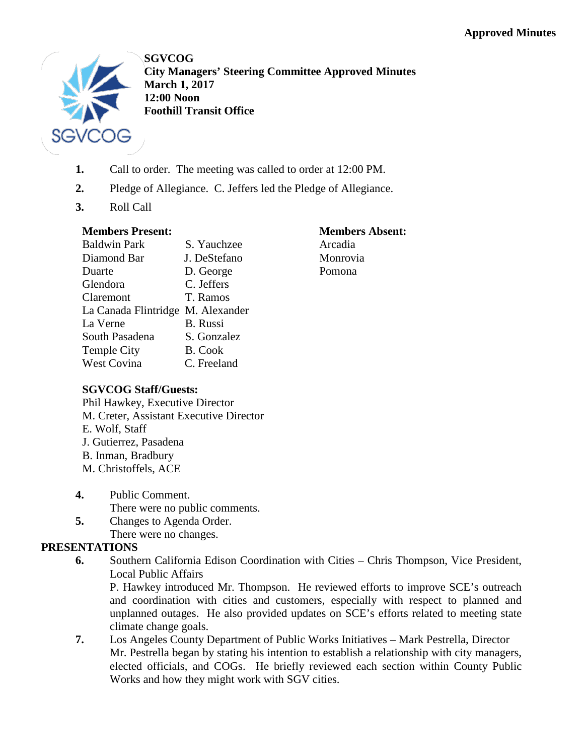

**SGVCOG City Managers' Steering Committee Approved Minutes March 1, 2017 12:00 Noon Foothill Transit Office**

- **1.** Call to order. The meeting was called to order at 12:00 PM.
- **2.** Pledge of Allegiance. C. Jeffers led the Pledge of Allegiance.
- **3.** Roll Call

# **Members Present:**

| <b>Baldwin Park</b>               | S. Yauchzee     |
|-----------------------------------|-----------------|
| Diamond Bar                       | J. DeStefano    |
| Duarte                            | D. George       |
| Glendora                          | C. Jeffers      |
| Claremont                         | T. Ramos        |
| La Canada Flintridge M. Alexander |                 |
| La Verne                          | <b>B.</b> Russi |
| South Pasadena                    | S. Gonzalez     |
| <b>Temple City</b>                | <b>B.</b> Cook  |
| <b>West Covina</b>                | C. Freeland     |
|                                   |                 |

### **Members Absent:** Arcadia Monrovia Pomona

## **SGVCOG Staff/Guests:**

Phil Hawkey, Executive Director M. Creter, Assistant Executive Director E. Wolf, Staff J. Gutierrez, Pasadena B. Inman, Bradbury M. Christoffels, ACE

- **4.** Public Comment. There were no public comments.
- **5.** Changes to Agenda Order.
- There were no changes.

# **PRESENTATIONS**

**6.** Southern California Edison Coordination with Cities – Chris Thompson, Vice President, Local Public Affairs

P. Hawkey introduced Mr. Thompson. He reviewed efforts to improve SCE's outreach and coordination with cities and customers, especially with respect to planned and unplanned outages. He also provided updates on SCE's efforts related to meeting state climate change goals.

**7.** Los Angeles County Department of Public Works Initiatives – Mark Pestrella, Director Mr. Pestrella began by stating his intention to establish a relationship with city managers, elected officials, and COGs. He briefly reviewed each section within County Public Works and how they might work with SGV cities.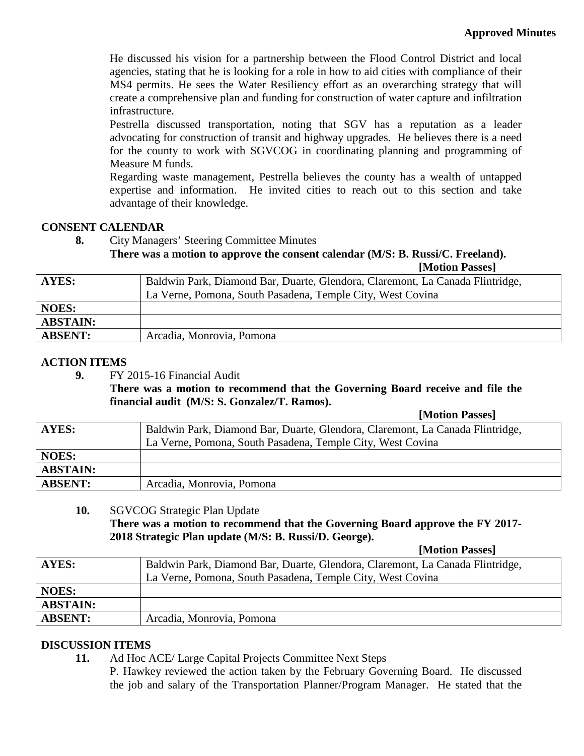He discussed his vision for a partnership between the Flood Control District and local agencies, stating that he is looking for a role in how to aid cities with compliance of their MS4 permits. He sees the Water Resiliency effort as an overarching strategy that will create a comprehensive plan and funding for construction of water capture and infiltration infrastructure.

Pestrella discussed transportation, noting that SGV has a reputation as a leader advocating for construction of transit and highway upgrades. He believes there is a need for the county to work with SGVCOG in coordinating planning and programming of Measure M funds.

Regarding waste management, Pestrella believes the county has a wealth of untapped expertise and information. He invited cities to reach out to this section and take advantage of their knowledge.

### **CONSENT CALENDAR**

**8.** City Managers' Steering Committee Minutes

### **There was a motion to approve the consent calendar (M/S: B. Russi/C. Freeland).**

| [Motion Passes] |  |
|-----------------|--|
|-----------------|--|

| AYES:           | Baldwin Park, Diamond Bar, Duarte, Glendora, Claremont, La Canada Flintridge, |
|-----------------|-------------------------------------------------------------------------------|
|                 | La Verne, Pomona, South Pasadena, Temple City, West Covina                    |
| <b>NOES:</b>    |                                                                               |
| <b>ABSTAIN:</b> |                                                                               |
| <b>ABSENT:</b>  | Arcadia, Monrovia, Pomona                                                     |

### **ACTION ITEMS**

**9.** FY 2015-16 Financial Audit

**There was a motion to recommend that the Governing Board receive and file the financial audit (M/S: S. Gonzalez/T. Ramos).**

|                 | [Motion Passes]                                                               |
|-----------------|-------------------------------------------------------------------------------|
| AYES:           | Baldwin Park, Diamond Bar, Duarte, Glendora, Claremont, La Canada Flintridge, |
|                 | La Verne, Pomona, South Pasadena, Temple City, West Covina                    |
| <b>NOES:</b>    |                                                                               |
| <b>ABSTAIN:</b> |                                                                               |
| <b>ABSENT:</b>  | Arcadia, Monrovia, Pomona                                                     |

#### **10.** SGVCOG Strategic Plan Update

**There was a motion to recommend that the Governing Board approve the FY 2017- 2018 Strategic Plan update (M/S: B. Russi/D. George).**

|                 | [Motion Passes]                                                               |
|-----------------|-------------------------------------------------------------------------------|
| AYES:           | Baldwin Park, Diamond Bar, Duarte, Glendora, Claremont, La Canada Flintridge, |
|                 | La Verne, Pomona, South Pasadena, Temple City, West Covina                    |
| <b>NOES:</b>    |                                                                               |
| <b>ABSTAIN:</b> |                                                                               |
| <b>ABSENT:</b>  | Arcadia, Monrovia, Pomona                                                     |

### **DISCUSSION ITEMS**

**11.** Ad Hoc ACE/ Large Capital Projects Committee Next Steps

P. Hawkey reviewed the action taken by the February Governing Board. He discussed the job and salary of the Transportation Planner/Program Manager. He stated that the